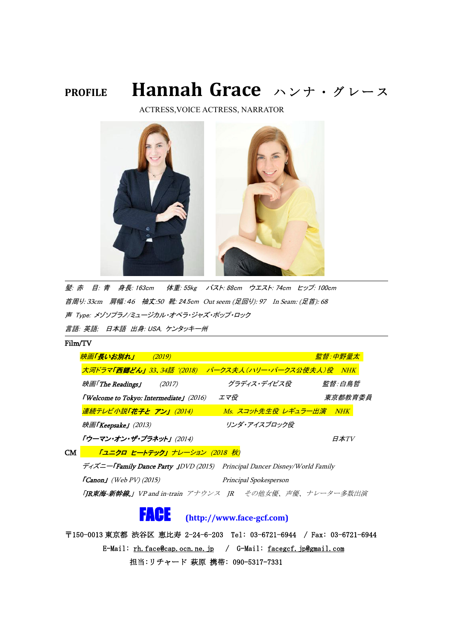# **PROFILE Hannah Grace** ハンナ・グレース

ACTRESS,VOICE ACTRESS, NARRATOR



髪: 赤 目: 青 身長: 163cm 体重: 55kg バスト: 88cm ウエスト: 74cm ヒップ: 100cm 首周り: 33cm 肩幅:4<sup>6</sup> 袖丈:50 靴: 24.5cm Out seem (足回り): <sup>97</sup> In Seam: (足首): <sup>68</sup> 声 Type: メゾソプラノ/ミュージカル・オペラ・ジャズ・ポップ・ロック 言語: 英語; 日本語 出身: USA, ケンタッキー州

| Film/TV                                                            |                                                                        |        |                                                                                                 |         |  |  |
|--------------------------------------------------------------------|------------------------------------------------------------------------|--------|-------------------------------------------------------------------------------------------------|---------|--|--|
|                                                                    | 映画「長いお別れ」                                                              | (2019) |                                                                                                 | 監督:中野量太 |  |  |
|                                                                    |                                                                        |        | <mark>大河ドラマ「西郷どん」33、34話(2018) パークス夫人 (ハリー・パークス公使夫人) 役  NHK</mark>                               |         |  |  |
|                                                                    | 映画「The Readings」                                                       | (2017) | グラディス・デイビス <i>役</i>                                                                             | 監督:白鳥哲  |  |  |
|                                                                    | <b>TWelcome to Tokyo: Intermediate</b> (2016)                          |        | エマ役                                                                                             | 東京都教育委員 |  |  |
|                                                                    |                                                                        |        | <mark>連続テレビ小説「<b>花子と アン」</b> (2014) Ms. スコット先生役 レギュラー出演 NHK</mark>                              |         |  |  |
|                                                                    | 映画「Keepsake」 (2013)                                                    |        | リンダ・アイスブロック役                                                                                    |         |  |  |
|                                                                    | 「ウーマン・オン・ザ・プラネット」(2014)                                                |        |                                                                                                 | 日本TV    |  |  |
| CM                                                                 | 「ユニクロ ヒートテック」ナレーション (2018 秋)                                           |        |                                                                                                 |         |  |  |
|                                                                    |                                                                        |        | <i><b>FIXI</b></i> - <i>Family Dance Party JDVD</i> (2015) Principal Dancer Disney/World Family |         |  |  |
|                                                                    | $\Gamma$ Canon $\Gamma$ (Web PV) (2015)                                |        | Principal Spokesperson                                                                          |         |  |  |
|                                                                    |                                                                        |        | 「JR東海-新幹線」VP and in-train アナウンス IR その他女優、声優、ナレーター多数出演                                           |         |  |  |
|                                                                    |                                                                        |        |                                                                                                 |         |  |  |
|                                                                    |                                                                        |        | (http://www.face-gcf.com)                                                                       |         |  |  |
|                                                                    | 〒150-0013 東京都 渋谷区 恵比寿 2-24-6-203 Tel: 03-6721-6944 / Fax: 03-6721-6944 |        |                                                                                                 |         |  |  |
| E-Mail: rh. face@cap. ocn. ne. jp / G-Mail: facegcf. jp@gmail. com |                                                                        |        |                                                                                                 |         |  |  |

担当:リチャード 萩原 携帯: 090-5317-7331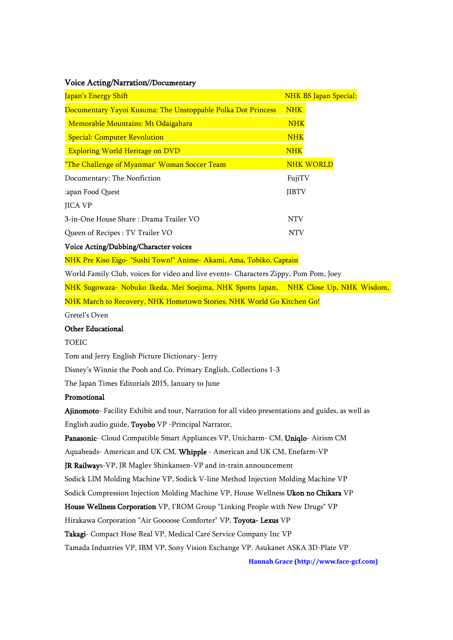### Voice Acting/Narration//Documentary

| Japan's Energy Shift                                         | <b>NHK BS Japan Special:</b> |
|--------------------------------------------------------------|------------------------------|
| Documentary Yayoi Kusuma: The Unstoppable Polka Dot Princess | <b>NHK</b>                   |
| Memorable Mountains: Mt Odaigahara                           | <b>NHK</b>                   |
| <b>Special: Computer Revolution</b>                          | <b>NHK</b>                   |
| <b>Exploring World Heritage on DVD</b>                       | <b>NHK</b>                   |
| "The Challenge of Myanmar' Woman Soccer Team                 | <b>NHK WORLD</b>             |
| Documentary: The Nonfiction                                  | FujiTV                       |
| apan Food Quest:                                             | <b>JIBTV</b>                 |
| <b>JICA VP</b>                                               |                              |
| 3-in-One House Share: Drama Trailer VO                       | <b>NTV</b>                   |
| Queen of Recipes : TV Trailer VO                             | <b>NTV</b>                   |

#### Voice Acting/Dubbing/Character voices

NHK Pre Kiso Eigo-"Sushi Town!" Anime- Akami, Ama, Tobiko, Captain

World Family Club, voices for video and live events- Characters Zippy, Pom Pom, Joey

NHK Sugowaza- Nobuko Ikeda, Mei Soejima, NHK Sports Japan, NHK Close Up, NHK Wisdom,

NHK March to Recovery, NHK Hometown Stories, NHK World Go Kitchen Go!

Gretel's Oven

## Other Educational

TOEIC

Tom and Jerry English Picture Dictionary- Jerry

Disney's Winnie the Pooh and Co. Primary English, Collections 1-3

The Japan Times Editorials 2015, January to June

## Promotional

Ajinomoto- Facility Exhibit and tour, Narration for all video presentations and guides, as well as English audio guide, Toyobo VP -Principal Narrator,

Panasonic- Cloud Compatible Smart Appliances VP, Unicharm- CM, Uniqlo- Airism CM

Aquabeads- American and UK CM, Whipple - American and UK CM, Enefarm-VP

JR Railways-VP, JR Maglev Shinkansen-VP and in-train announcement

Sodick LIM Molding Machine VP, Sodick V-line Method Injection Molding Machine VP

Sodick Compression Injection Molding Machine VP, House Wellness Ukon no Chikara VP

House Wellness Corporation VP, I'ROM Group "Linking People with New Drugs" VP

Hirakawa Corporation "Air Goooose Comforter" VP, Toyota- Lexus VP

Takagi- Compact Hose Real VP, Medical Care Service Company Inc VP

Tamada Industries VP, IBM VP, Sony Vision Exchange VP. Asukanet ASKA 3D-Plate VP

**Hannah Grace (http://www.face-gcf.com)**